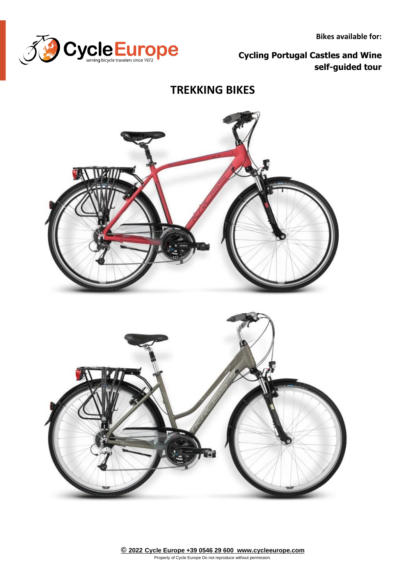

**Bikes available for:**

**Cycling Portugal Castles and Wine self-guided tour**

## **TREKKING BIKES**

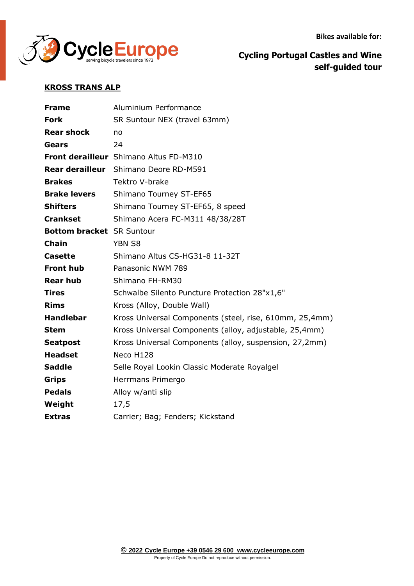**Bikes available for:**



**Cycling Portugal Castles and Wine self-guided tour**

## **KROSS TRANS ALP**

| <b>Frame</b>                     | Aluminium Performance                                   |
|----------------------------------|---------------------------------------------------------|
| <b>Fork</b>                      | SR Suntour NEX (travel 63mm)                            |
| <b>Rear shock</b>                | no                                                      |
| <b>Gears</b>                     | 24                                                      |
|                                  | <b>Front derailleur</b> Shimano Altus FD-M310           |
|                                  | <b>Rear derailleur</b> Shimano Deore RD-M591            |
| <b>Brakes</b>                    | Tektro V-brake                                          |
| <b>Brake levers</b>              | Shimano Tourney ST-EF65                                 |
| <b>Shifters</b>                  | Shimano Tourney ST-EF65, 8 speed                        |
| <b>Crankset</b>                  | Shimano Acera FC-M311 48/38/28T                         |
| <b>Bottom bracket</b> SR Suntour |                                                         |
| <b>Chain</b>                     | <b>YBN S8</b>                                           |
| <b>Casette</b>                   | Shimano Altus CS-HG31-8 11-32T                          |
| <b>Front hub</b>                 | Panasonic NWM 789                                       |
| <b>Rear hub</b>                  | Shimano FH-RM30                                         |
| <b>Tires</b>                     | Schwalbe Silento Puncture Protection 28"x1,6"           |
| <b>Rims</b>                      | Kross (Alloy, Double Wall)                              |
| <b>Handlebar</b>                 | Kross Universal Components (steel, rise, 610mm, 25,4mm) |
| <b>Stem</b>                      | Kross Universal Components (alloy, adjustable, 25,4mm)  |
| <b>Seatpost</b>                  | Kross Universal Components (alloy, suspension, 27,2mm)  |
| <b>Headset</b>                   | Neco H128                                               |
| <b>Saddle</b>                    | Selle Royal Lookin Classic Moderate Royalgel            |
| <b>Grips</b>                     | Herrmans Primergo                                       |
| <b>Pedals</b>                    | Alloy w/anti slip                                       |
| Weight                           | 17,5                                                    |
| <b>Extras</b>                    | Carrier; Bag; Fenders; Kickstand                        |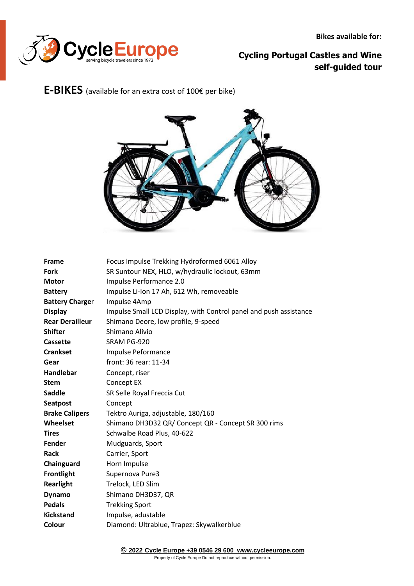

## **Cycling Portugal Castles and Wine self-guided tour**

## **E-BIKES** (available for an extra cost of 100€ per bike)



| <b>Frame</b>           | Focus Impulse Trekking Hydroformed 6061 Alloy                     |
|------------------------|-------------------------------------------------------------------|
| <b>Fork</b>            | SR Suntour NEX, HLO, w/hydraulic lockout, 63mm                    |
| <b>Motor</b>           | Impulse Performance 2.0                                           |
| <b>Battery</b>         | Impulse Li-Ion 17 Ah, 612 Wh, removeable                          |
| <b>Battery Charger</b> | Impulse 4Amp                                                      |
| <b>Display</b>         | Impulse Small LCD Display, with Control panel and push assistance |
| <b>Rear Derailleur</b> | Shimano Deore, low profile, 9-speed                               |
| <b>Shifter</b>         | Shimano Alivio                                                    |
| Cassette               | SRAM PG-920                                                       |
| <b>Crankset</b>        | Impulse Peformance                                                |
| Gear                   | front: 36 rear: 11-34                                             |
| <b>Handlebar</b>       | Concept, riser                                                    |
| <b>Stem</b>            | Concept EX                                                        |
| <b>Saddle</b>          | SR Selle Royal Freccia Cut                                        |
| <b>Seatpost</b>        | Concept                                                           |
| <b>Brake Calipers</b>  | Tektro Auriga, adjustable, 180/160                                |
| Wheelset               | Shimano DH3D32 QR/ Concept QR - Concept SR 300 rims               |
| <b>Tires</b>           | Schwalbe Road Plus, 40-622                                        |
| Fender                 | Mudguards, Sport                                                  |
| <b>Rack</b>            | Carrier, Sport                                                    |
| Chainguard             | Horn Impulse                                                      |
| <b>Frontlight</b>      | Supernova Pure3                                                   |
| <b>Rearlight</b>       | Trelock, LED Slim                                                 |
| <b>Dynamo</b>          | Shimano DH3D37, QR                                                |
| <b>Pedals</b>          | <b>Trekking Sport</b>                                             |
| <b>Kickstand</b>       | Impulse, adustable                                                |
| Colour                 | Diamond: Ultrablue, Trapez: Skywalkerblue                         |